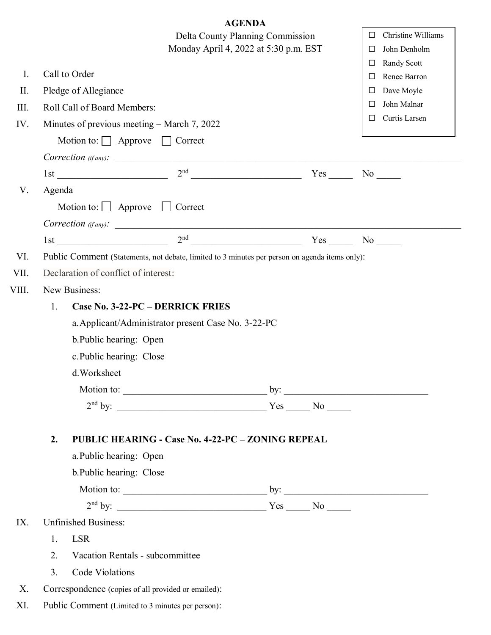|       |                                                                                |                                                                |                                                                                                | <b>AGENDA</b> |                 |                           |                    |  |  |  |  |
|-------|--------------------------------------------------------------------------------|----------------------------------------------------------------|------------------------------------------------------------------------------------------------|---------------|-----------------|---------------------------|--------------------|--|--|--|--|
|       | Delta County Planning Commission                                               |                                                                |                                                                                                |               |                 | □                         | Christine Williams |  |  |  |  |
|       | Monday April 4, 2022 at 5:30 p.m. EST                                          |                                                                |                                                                                                |               |                 |                           | John Denholm       |  |  |  |  |
|       |                                                                                | Call to Order                                                  |                                                                                                |               |                 | □                         | Randy Scott        |  |  |  |  |
| Ι.    |                                                                                |                                                                |                                                                                                |               |                 | $\Box$                    | Renee Barron       |  |  |  |  |
| II.   |                                                                                | Pledge of Allegiance                                           |                                                                                                |               | □               | Dave Moyle<br>John Malnar |                    |  |  |  |  |
| III.  |                                                                                | Roll Call of Board Members:                                    |                                                                                                |               |                 | □<br>$\Box$               | Curtis Larsen      |  |  |  |  |
| IV.   | Minutes of previous meeting – March 7, 2022                                    |                                                                |                                                                                                |               |                 |                           |                    |  |  |  |  |
|       |                                                                                | Motion to: Approve                                             |                                                                                                |               |                 |                           |                    |  |  |  |  |
|       |                                                                                |                                                                | $\textit{Correction (if any).}$                                                                |               |                 |                           |                    |  |  |  |  |
|       |                                                                                |                                                                |                                                                                                |               | $Yes$ No $\_\_$ |                           |                    |  |  |  |  |
| V.    | Agenda                                                                         |                                                                |                                                                                                |               |                 |                           |                    |  |  |  |  |
|       | Motion to: $\Box$ Approve $\Box$ Correct                                       |                                                                |                                                                                                |               |                 |                           |                    |  |  |  |  |
|       |                                                                                |                                                                | $\textit{Correction (if any).}$                                                                |               |                 |                           |                    |  |  |  |  |
|       |                                                                                |                                                                | 1st $2nd$ $2nd$                                                                                |               | $Yes$ No $\_\_$ |                           |                    |  |  |  |  |
| VI.   |                                                                                |                                                                | Public Comment (Statements, not debate, limited to 3 minutes per person on agenda items only): |               |                 |                           |                    |  |  |  |  |
| VII.  |                                                                                | Declaration of conflict of interest:                           |                                                                                                |               |                 |                           |                    |  |  |  |  |
| VIII. | New Business:                                                                  |                                                                |                                                                                                |               |                 |                           |                    |  |  |  |  |
|       | Case No. 3-22-PC - DERRICK FRIES<br>1.                                         |                                                                |                                                                                                |               |                 |                           |                    |  |  |  |  |
|       |                                                                                |                                                                |                                                                                                |               |                 |                           |                    |  |  |  |  |
|       | a. Applicant/Administrator present Case No. 3-22-PC<br>b. Public hearing: Open |                                                                |                                                                                                |               |                 |                           |                    |  |  |  |  |
|       | c. Public hearing: Close                                                       |                                                                |                                                                                                |               |                 |                           |                    |  |  |  |  |
|       | d.Worksheet                                                                    |                                                                |                                                                                                |               |                 |                           |                    |  |  |  |  |
|       |                                                                                |                                                                |                                                                                                |               |                 |                           |                    |  |  |  |  |
|       |                                                                                |                                                                |                                                                                                |               |                 |                           |                    |  |  |  |  |
|       |                                                                                |                                                                |                                                                                                |               |                 |                           |                    |  |  |  |  |
|       |                                                                                |                                                                |                                                                                                |               |                 |                           |                    |  |  |  |  |
|       |                                                                                | 2.<br><b>PUBLIC HEARING - Case No. 4-22-PC - ZONING REPEAL</b> |                                                                                                |               |                 |                           |                    |  |  |  |  |
|       |                                                                                | a. Public hearing: Open                                        |                                                                                                |               |                 |                           |                    |  |  |  |  |
|       |                                                                                | b. Public hearing: Close                                       |                                                                                                |               |                 |                           |                    |  |  |  |  |
|       |                                                                                |                                                                |                                                                                                |               |                 |                           |                    |  |  |  |  |
|       |                                                                                |                                                                |                                                                                                |               |                 |                           |                    |  |  |  |  |
| IX.   | <b>Unfinished Business:</b>                                                    |                                                                |                                                                                                |               |                 |                           |                    |  |  |  |  |
|       | 1.                                                                             | <b>LSR</b>                                                     |                                                                                                |               |                 |                           |                    |  |  |  |  |
|       | 2.                                                                             | Vacation Rentals - subcommittee                                |                                                                                                |               |                 |                           |                    |  |  |  |  |
|       | 3.                                                                             | Code Violations                                                |                                                                                                |               |                 |                           |                    |  |  |  |  |
| Χ.    |                                                                                |                                                                | Correspondence (copies of all provided or emailed):                                            |               |                 |                           |                    |  |  |  |  |
| XI.   | Public Comment (Limited to 3 minutes per person):                              |                                                                |                                                                                                |               |                 |                           |                    |  |  |  |  |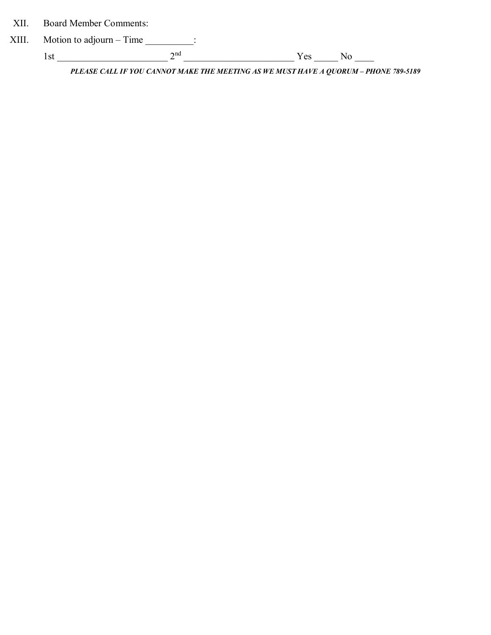XII. Board Member Comments:

| $XIII.$ Motion to adjourn – Time |                          |      |  |
|----------------------------------|--------------------------|------|--|
|                                  | $\boldsymbol{\gamma}$ nd | Y es |  |

**PLEASE CALL IF YOU CANNOT MAKE THE MEETING AS WE MUST HAVE A QUORUM - PHONE 789-5189**